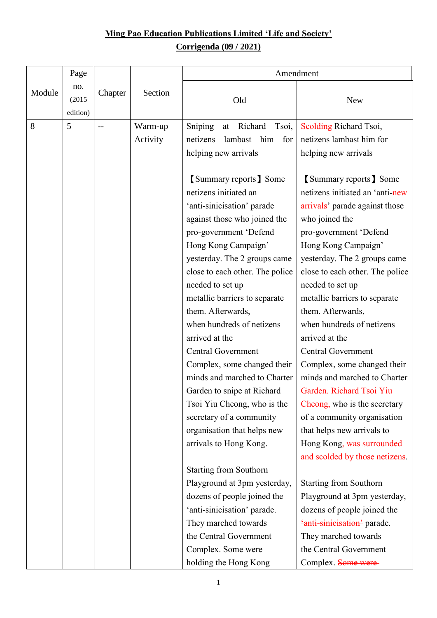# **Ming Pao Education Publications Limited 'Life and Society' Corrigenda (09 / 2021)**

|        | Page                      |         |          | Amendment                                                                                                                                                                                                                                                                                                                                                                                                                                                                                                                                                                                                                                                                                                                                                                                                                                |                                                                                                                                                                                                                                                                                                                                                                                                                                                                                                                                                                                                                                                                                                                                                                                                                                                        |
|--------|---------------------------|---------|----------|------------------------------------------------------------------------------------------------------------------------------------------------------------------------------------------------------------------------------------------------------------------------------------------------------------------------------------------------------------------------------------------------------------------------------------------------------------------------------------------------------------------------------------------------------------------------------------------------------------------------------------------------------------------------------------------------------------------------------------------------------------------------------------------------------------------------------------------|--------------------------------------------------------------------------------------------------------------------------------------------------------------------------------------------------------------------------------------------------------------------------------------------------------------------------------------------------------------------------------------------------------------------------------------------------------------------------------------------------------------------------------------------------------------------------------------------------------------------------------------------------------------------------------------------------------------------------------------------------------------------------------------------------------------------------------------------------------|
| Module | no.<br>(2015)<br>edition) | Chapter | Section  | Old                                                                                                                                                                                                                                                                                                                                                                                                                                                                                                                                                                                                                                                                                                                                                                                                                                      | <b>New</b>                                                                                                                                                                                                                                                                                                                                                                                                                                                                                                                                                                                                                                                                                                                                                                                                                                             |
| 8      | 5                         | $-$     | Warm-up  | Sniping<br>Tsoi,<br>Richard<br>at                                                                                                                                                                                                                                                                                                                                                                                                                                                                                                                                                                                                                                                                                                                                                                                                        | Scolding Richard Tsoi,                                                                                                                                                                                                                                                                                                                                                                                                                                                                                                                                                                                                                                                                                                                                                                                                                                 |
|        |                           |         | Activity | lambast him<br>for<br>netizens                                                                                                                                                                                                                                                                                                                                                                                                                                                                                                                                                                                                                                                                                                                                                                                                           | netizens lambast him for                                                                                                                                                                                                                                                                                                                                                                                                                                                                                                                                                                                                                                                                                                                                                                                                                               |
|        |                           |         |          | helping new arrivals                                                                                                                                                                                                                                                                                                                                                                                                                                                                                                                                                                                                                                                                                                                                                                                                                     | helping new arrivals                                                                                                                                                                                                                                                                                                                                                                                                                                                                                                                                                                                                                                                                                                                                                                                                                                   |
|        |                           |         |          | [Summary reports] Some<br>netizens initiated an<br>'anti-sinicisation' parade<br>against those who joined the<br>pro-government 'Defend<br>Hong Kong Campaign'<br>yesterday. The 2 groups came<br>close to each other. The police<br>needed to set up<br>metallic barriers to separate<br>them. Afterwards,<br>when hundreds of netizens<br>arrived at the<br><b>Central Government</b><br>Complex, some changed their<br>minds and marched to Charter<br>Garden to snipe at Richard<br>Tsoi Yiu Cheong, who is the<br>secretary of a community<br>organisation that helps new<br>arrivals to Hong Kong.<br><b>Starting from Southorn</b><br>Playground at 3pm yesterday,<br>dozens of people joined the<br>'anti-sinicisation' parade.<br>They marched towards<br>the Central Government<br>Complex. Some were<br>holding the Hong Kong | [Summary reports] Some<br>netizens initiated an 'anti-new<br>arrivals' parade against those<br>who joined the<br>pro-government 'Defend<br>Hong Kong Campaign'<br>yesterday. The 2 groups came<br>close to each other. The police<br>needed to set up<br>metallic barriers to separate<br>them. Afterwards,<br>when hundreds of netizens<br>arrived at the<br><b>Central Government</b><br>Complex, some changed their<br>minds and marched to Charter<br>Garden. Richard Tsoi Yiu<br>Cheong, who is the secretary<br>of a community organisation<br>that helps new arrivals to<br>Hong Kong, was surrounded<br>and scolded by those netizens.<br><b>Starting from Southorn</b><br>Playground at 3pm yesterday,<br>dozens of people joined the<br>'anti-sinicisation' parade.<br>They marched towards<br>the Central Government<br>Complex. Some were- |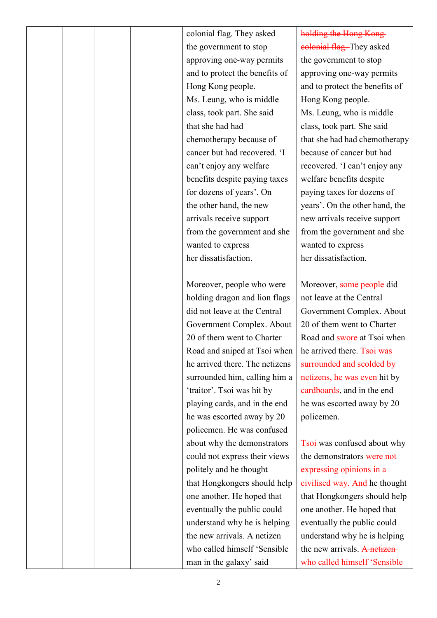|  |  | colonial flag. They asked      | holding the Hong Kong          |
|--|--|--------------------------------|--------------------------------|
|  |  | the government to stop         | eolonial flag. They asked      |
|  |  | approving one-way permits      | the government to stop         |
|  |  | and to protect the benefits of | approving one-way permits      |
|  |  | Hong Kong people.              | and to protect the benefits of |
|  |  | Ms. Leung, who is middle       | Hong Kong people.              |
|  |  | class, took part. She said     | Ms. Leung, who is middle       |
|  |  | that she had had               | class, took part. She said     |
|  |  | chemotherapy because of        | that she had had chemotherapy  |
|  |  | cancer but had recovered. 'I   | because of cancer but had      |
|  |  | can't enjoy any welfare        | recovered. 'I can't enjoy any  |
|  |  | benefits despite paying taxes  | welfare benefits despite       |
|  |  | for dozens of years'. On       | paying taxes for dozens of     |
|  |  | the other hand, the new        | years'. On the other hand, the |
|  |  | arrivals receive support       | new arrivals receive support   |
|  |  | from the government and she    | from the government and she    |
|  |  | wanted to express              | wanted to express              |
|  |  | her dissatisfaction.           | her dissatisfaction.           |
|  |  |                                |                                |
|  |  | Moreover, people who were      | Moreover, some people did      |
|  |  | holding dragon and lion flags  | not leave at the Central       |
|  |  | did not leave at the Central   | Government Complex. About      |
|  |  | Government Complex. About      | 20 of them went to Charter     |
|  |  | 20 of them went to Charter     | Road and swore at Tsoi when    |
|  |  | Road and sniped at Tsoi when   | he arrived there. Tsoi was     |
|  |  | he arrived there. The netizens | surrounded and scolded by      |
|  |  | surrounded him, calling him a  | netizens, he was even hit by   |
|  |  | 'traitor'. Tsoi was hit by     | cardboards, and in the end     |
|  |  | playing cards, and in the end  | he was escorted away by 20     |
|  |  | he was escorted away by 20     | policemen.                     |
|  |  | policemen. He was confused     |                                |
|  |  | about why the demonstrators    | Tsoi was confused about why    |
|  |  | could not express their views  | the demonstrators were not     |
|  |  | politely and he thought        | expressing opinions in a       |
|  |  | that Hongkongers should help   | civilised way. And he thought  |
|  |  | one another. He hoped that     | that Hongkongers should help   |
|  |  | eventually the public could    | one another. He hoped that     |
|  |  | understand why he is helping   | eventually the public could    |
|  |  | the new arrivals. A netizen    | understand why he is helping   |
|  |  | who called himself 'Sensible   | the new arrivals. A netizen-   |
|  |  | man in the galaxy' said        | who called himself 'Sensible   |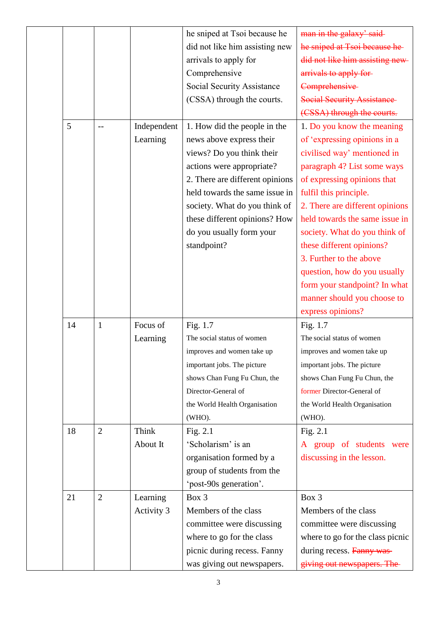|  |    |                |              | he sniped at Tsoi because he    | man in the galaxy' said-          |
|--|----|----------------|--------------|---------------------------------|-----------------------------------|
|  |    |                |              | did not like him assisting new  | he sniped at Tsoi because he-     |
|  |    |                |              | arrivals to apply for           | did not like him assisting new-   |
|  |    |                |              | Comprehensive                   | arrivals to apply for-            |
|  |    |                |              | Social Security Assistance      | Comprehensive                     |
|  |    |                |              | (CSSA) through the courts.      | <b>Social Security Assistance</b> |
|  |    |                |              |                                 | (CSSA) through the courts.        |
|  | 5  | $-$            | Independent  | 1. How did the people in the    | 1. Do you know the meaning        |
|  |    |                | Learning     | news above express their        | of 'expressing opinions in a      |
|  |    |                |              | views? Do you think their       | civilised way' mentioned in       |
|  |    |                |              | actions were appropriate?       | paragraph 4? List some ways       |
|  |    |                |              | 2. There are different opinions | of expressing opinions that       |
|  |    |                |              | held towards the same issue in  | fulfil this principle.            |
|  |    |                |              | society. What do you think of   | 2. There are different opinions   |
|  |    |                |              | these different opinions? How   | held towards the same issue in    |
|  |    |                |              | do you usually form your        | society. What do you think of     |
|  |    |                |              | standpoint?                     | these different opinions?         |
|  |    |                |              |                                 | 3. Further to the above           |
|  |    |                |              |                                 | question, how do you usually      |
|  |    |                |              |                                 | form your standpoint? In what     |
|  |    |                |              |                                 | manner should you choose to       |
|  |    |                |              |                                 | express opinions?                 |
|  | 14 | $\mathbf{1}$   | Focus of     | Fig. 1.7                        | Fig. 1.7                          |
|  |    |                | Learning     | The social status of women      | The social status of women        |
|  |    |                |              | improves and women take up      | improves and women take up        |
|  |    |                |              | important jobs. The picture     | important jobs. The picture       |
|  |    |                |              | shows Chan Fung Fu Chun, the    | shows Chan Fung Fu Chun, the      |
|  |    |                |              | Director-General of             | former Director-General of        |
|  |    |                |              | the World Health Organisation   | the World Health Organisation     |
|  |    |                |              | (WHO).                          | (WHO).                            |
|  | 18 | $\overline{2}$ | <b>Think</b> | Fig. 2.1                        | Fig. $2.1$                        |
|  |    |                | About It     | 'Scholarism' is an              | A group of students were          |
|  |    |                |              | organisation formed by a        | discussing in the lesson.         |
|  |    |                |              | group of students from the      |                                   |
|  |    |                |              | 'post-90s generation'.          |                                   |
|  | 21 | $\overline{2}$ | Learning     | Box 3                           | Box 3                             |
|  |    |                | Activity 3   | Members of the class            | Members of the class              |
|  |    |                |              | committee were discussing       | committee were discussing         |
|  |    |                |              | where to go for the class       | where to go for the class picnic  |
|  |    |                |              | picnic during recess. Fanny     | during recess. Fanny was          |
|  |    |                |              | was giving out newspapers.      | giving out newspapers. The        |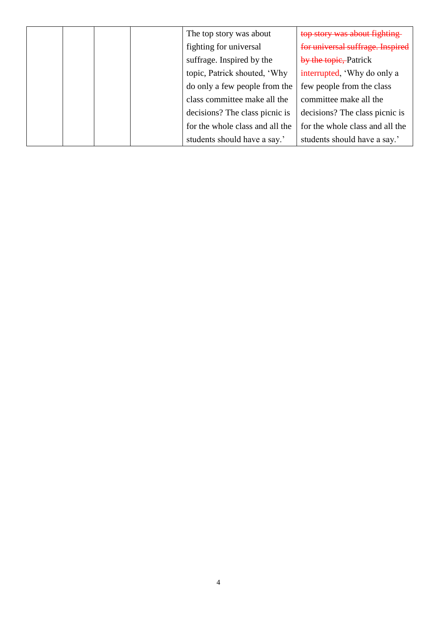|  |  | The top story was about         | top story was about fighting     |
|--|--|---------------------------------|----------------------------------|
|  |  | fighting for universal          | for universal suffrage. Inspired |
|  |  | suffrage. Inspired by the       | by the topic, Patrick            |
|  |  | topic, Patrick shouted, 'Why    | interrupted, 'Why do only a      |
|  |  | do only a few people from the   | few people from the class        |
|  |  | class committee make all the    | committee make all the           |
|  |  | decisions? The class picnic is  | decisions? The class picnic is   |
|  |  | for the whole class and all the | for the whole class and all the  |
|  |  | students should have a say.'    | students should have a say.'     |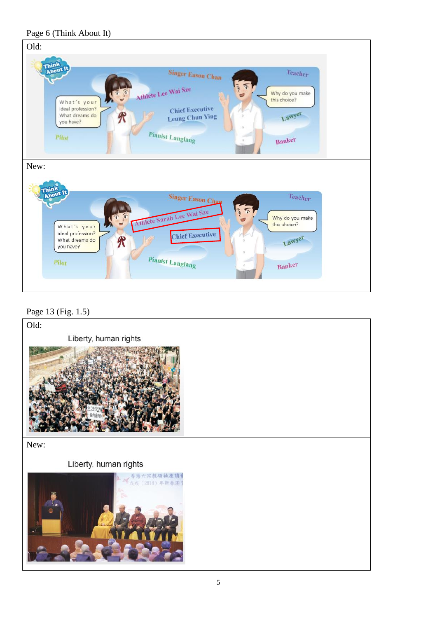### Page 6 (Think About It)



## Page 13 (Fig. 1.5)

#### Old:

Liberty, human rights



New:

Liberty, human rights